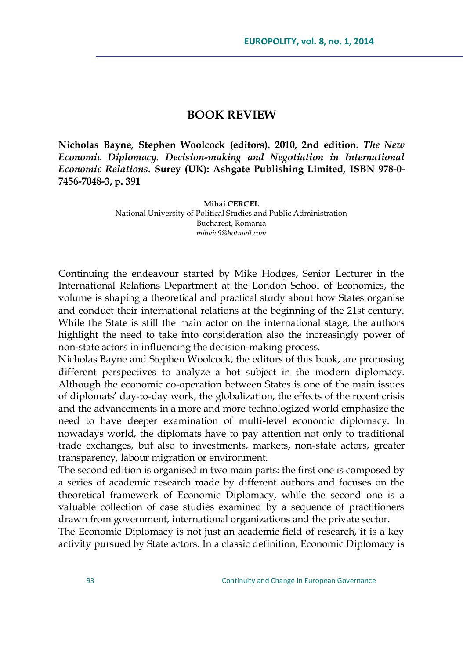## **BOOK REVIEW**

**Nicholas Bayne, Stephen Woolcock (editors). 2010, 2nd edition.** *The New Economic Diplomacy. Decision-making and Negotiation in International Economic Relations***. Surey (UK): Ashgate Publishing Limited, ISBN 978-0- 7456-7048-3, p. 391**

## **Mihai CERCEL**

National University of Political Studies and Public Administration Bucharest, Romania *mihaic9@hotmail.com*

Continuing the endeavour started by Mike Hodges, Senior Lecturer in the International Relations Department at the London School of Economics, the volume is shaping a theoretical and practical study about how States organise and conduct their international relations at the beginning of the 21st century. While the State is still the main actor on the international stage, the authors highlight the need to take into consideration also the increasingly power of non-state actors in influencing the decision-making process.

Nicholas Bayne and Stephen Woolcock, the editors of this book, are proposing different perspectives to analyze a hot subject in the modern diplomacy. Although the economic co-operation between States is one of the main issues of diplomats" day-to-day work, the globalization, the effects of the recent crisis and the advancements in a more and more technologized world emphasize the need to have deeper examination of multi-level economic diplomacy. In nowadays world, the diplomats have to pay attention not only to traditional trade exchanges, but also to investments, markets, non-state actors, greater transparency, labour migration or environment.

The second edition is organised in two main parts: the first one is composed by a series of academic research made by different authors and focuses on the theoretical framework of Economic Diplomacy, while the second one is a valuable collection of case studies examined by a sequence of practitioners drawn from government, international organizations and the private sector.

The Economic Diplomacy is not just an academic field of research, it is a key activity pursued by State actors. In a classic definition, Economic Diplomacy is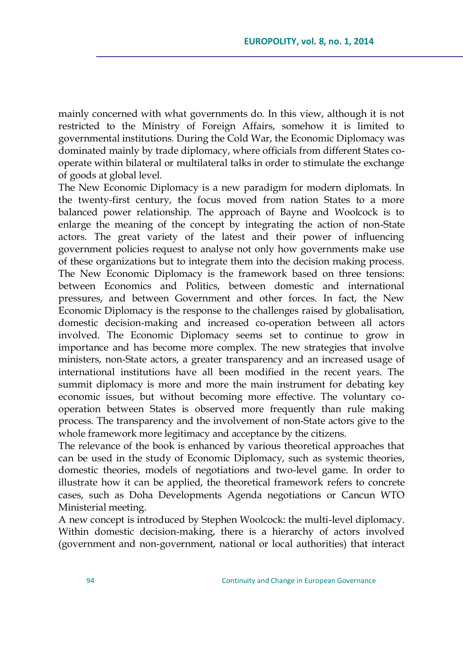mainly concerned with what governments do. In this view, although it is not restricted to the Ministry of Foreign Affairs, somehow it is limited to governmental institutions. During the Cold War, the Economic Diplomacy was dominated mainly by trade diplomacy, where officials from different States cooperate within bilateral or multilateral talks in order to stimulate the exchange of goods at global level.

The New Economic Diplomacy is a new paradigm for modern diplomats. In the twenty-first century, the focus moved from nation States to a more balanced power relationship. The approach of Bayne and Woolcock is to enlarge the meaning of the concept by integrating the action of non-State actors. The great variety of the latest and their power of influencing government policies request to analyse not only how governments make use of these organizations but to integrate them into the decision making process. The New Economic Diplomacy is the framework based on three tensions: between Economics and Politics, between domestic and international pressures, and between Government and other forces. In fact, the New Economic Diplomacy is the response to the challenges raised by globalisation, domestic decision-making and increased co-operation between all actors involved. The Economic Diplomacy seems set to continue to grow in importance and has become more complex. The new strategies that involve ministers, non-State actors, a greater transparency and an increased usage of international institutions have all been modified in the recent years. The summit diplomacy is more and more the main instrument for debating key economic issues, but without becoming more effective. The voluntary cooperation between States is observed more frequently than rule making process. The transparency and the involvement of non-State actors give to the whole framework more legitimacy and acceptance by the citizens.

The relevance of the book is enhanced by various theoretical approaches that can be used in the study of Economic Diplomacy, such as systemic theories, domestic theories, models of negotiations and two-level game. In order to illustrate how it can be applied, the theoretical framework refers to concrete cases, such as Doha Developments Agenda negotiations or Cancun WTO Ministerial meeting.

A new concept is introduced by Stephen Woolcock: the multi-level diplomacy. Within domestic decision-making, there is a hierarchy of actors involved (government and non-government, national or local authorities) that interact